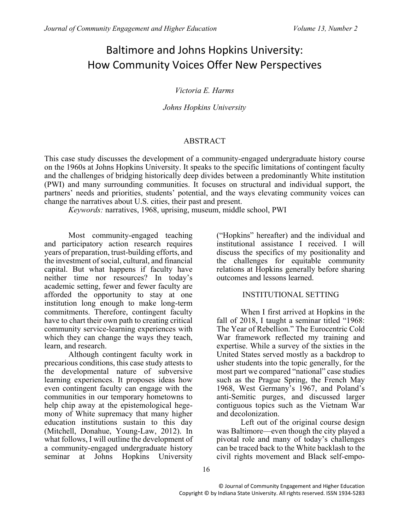# Baltimore and Johns Hopkins University: How Community Voices Offer New Perspectives

*Victoria E. Harms*

*Johns Hopkins University*

# ABSTRACT

This case study discusses the development of a community-engaged undergraduate history course on the 1960s at Johns Hopkins University. It speaks to the specific limitations of contingent faculty and the challenges of bridging historically deep divides between a predominantly White institution (PWI) and many surrounding communities. It focuses on structural and individual support, the partners' needs and priorities, students' potential, and the ways elevating community voices can change the narratives about U.S. cities, their past and present.

*Keywords:* narratives, 1968, uprising, museum, middle school, PWI

Most community-engaged teaching and participatory action research requires years of preparation, trust-building efforts, and the investment of social, cultural, and financial capital. But what happens if faculty have neither time nor resources? In today's academic setting, fewer and fewer faculty are afforded the opportunity to stay at one institution long enough to make long-term commitments. Therefore, contingent faculty have to chart their own path to creating critical community service-learning experiences with which they can change the ways they teach, learn, and research.

Although contingent faculty work in precarious conditions, this case study attests to the developmental nature of subversive learning experiences. It proposes ideas how even contingent faculty can engage with the communities in our temporary hometowns to help chip away at the epistemological hegemony of White supremacy that many higher education institutions sustain to this day (Mitchell, Donahue, Young-Law, 2012). In what follows, I will outline the development of a community-engaged undergraduate history seminar at Johns Hopkins University

("Hopkins" hereafter) and the individual and institutional assistance I received. I will discuss the specifics of my positionality and the challenges for equitable community relations at Hopkins generally before sharing outcomes and lessons learned.

# INSTITUTIONAL SETTING

When I first arrived at Hopkins in the fall of 2018, I taught a seminar titled "1968: The Year of Rebellion." The Eurocentric Cold War framework reflected my training and expertise. While a survey of the sixties in the United States served mostly as a backdrop to usher students into the topic generally, for the most part we compared "national" case studies such as the Prague Spring, the French May 1968, West Germany's 1967, and Poland's anti-Semitic purges, and discussed larger contiguous topics such as the Vietnam War and decolonization.

Left out of the original course design was Baltimore—even though the city played a pivotal role and many of today's challenges can be traced back to the White backlash to the civil rights movement and Black self-empo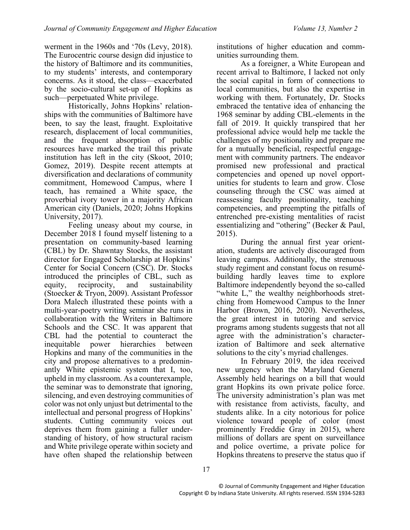werment in the 1960s and '70s (Levy, 2018). The Eurocentric course design did injustice to the history of Baltimore and its communities, to my students' interests, and contemporary concerns. As it stood, the class—exacerbated by the socio-cultural set-up of Hopkins as such—perpetuated White privilege.

Historically, Johns Hopkins' relationships with the communities of Baltimore have been, to say the least, fraught. Exploitative research, displacement of local communities, and the frequent absorption of public resources have marked the trail this private institution has left in the city (Skoot, 2010; Gomez, 2019). Despite recent attempts at diversification and declarations of community commitment, Homewood Campus, where I teach, has remained a White space, the proverbial ivory tower in a majority African American city (Daniels, 2020; Johns Hopkins University, 2017).

Feeling uneasy about my course, in December 2018 I found myself listening to a presentation on community-based learning (CBL) by Dr. Shawntay Stocks, the assistant director for Engaged Scholarship at Hopkins' Center for Social Concern (CSC). Dr. Stocks introduced the principles of CBL, such as equity, reciprocity, and sustainability (Stoecker & Tryon, 2009). Assistant Professor Dora Malech illustrated these points with a multi-year-poetry writing seminar she runs in collaboration with the Writers in Baltimore Schools and the CSC. It was apparent that CBL had the potential to counteract the inequitable power hierarchies between Hopkins and many of the communities in the city and propose alternatives to a predominantly White epistemic system that I, too, upheld in my classroom. As a counterexample, the seminar was to demonstrate that ignoring, silencing, and even destroying communities of color was not only unjust but detrimental to the intellectual and personal progress of Hopkins' students. Cutting community voices out deprives them from gaining a fuller understanding of history, of how structural racism and White privilege operate within society and have often shaped the relationship between

institutions of higher education and communities surrounding them.

As a foreigner, a White European and recent arrival to Baltimore, I lacked not only the social capital in form of connections to local communities, but also the expertise in working with them. Fortunately, Dr. Stocks embraced the tentative idea of enhancing the 1968 seminar by adding CBL-elements in the fall of 2019. It quickly transpired that her professional advice would help me tackle the challenges of my positionality and prepare me for a mutually beneficial, respectful engagement with community partners. The endeavor promised new professional and practical competencies and opened up novel opportunities for students to learn and grow. Close counseling through the CSC was aimed at reassessing faculty positionality, teaching competencies, and preempting the pitfalls of entrenched pre-existing mentalities of racist essentializing and "othering" (Becker & Paul, 2015).

During the annual first year orientation, students are actively discouraged from leaving campus. Additionally, the strenuous study regiment and constant focus on resumébuilding hardly leaves time to explore Baltimore independently beyond the so-called "white L," the wealthy neighborhoods stretching from Homewood Campus to the Inner Harbor (Brown, 2016, 2020). Nevertheless, the great interest in tutoring and service programs among students suggests that not all agree with the administration's characterization of Baltimore and seek alternative solutions to the city's myriad challenges.

In February 2019, the idea received new urgency when the Maryland General Assembly held hearings on a bill that would grant Hopkins its own private police force. The university administration's plan was met with resistance from activists, faculty, and students alike. In a city notorious for police violence toward people of color (most prominently Freddie Gray in 2015), where millions of dollars are spent on surveillance and police overtime, a private police for Hopkins threatens to preserve the status quo if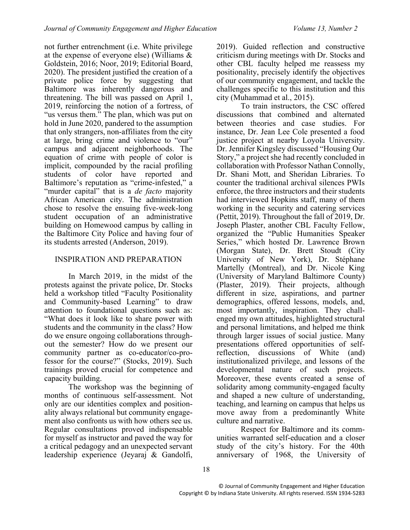not further entrenchment (i.e. White privilege at the expense of everyone else) (Williams & Goldstein, 2016; Noor, 2019; Editorial Board, 2020). The president justified the creation of a private police force by suggesting that Baltimore was inherently dangerous and threatening. The bill was passed on April 1, 2019, reinforcing the notion of a fortress, of "us versus them." The plan, which was put on hold in June 2020, pandered to the assumption that only strangers, non-affiliates from the city at large, bring crime and violence to "our" campus and adjacent neighborhoods. The equation of crime with people of color is implicit, compounded by the racial profiling students of color have reported and Baltimore's reputation as "crime-infested," a "murder capital" that is a *de facto* majority African American city. The administration chose to resolve the ensuing five-week-long student occupation of an administrative building on Homewood campus by calling in the Baltimore City Police and having four of its students arrested (Anderson, 2019).

# INSPIRATION AND PREPARATION

In March 2019, in the midst of the protests against the private police, Dr. Stocks held a workshop titled "Faculty Positionality and Community-based Learning" to draw attention to foundational questions such as: "What does it look like to share power with students and the community in the class? How do we ensure ongoing collaborations throughout the semester? How do we present our community partner as co-educator/co-professor for the course?" (Stocks, 2019). Such trainings proved crucial for competence and capacity building.

The workshop was the beginning of months of continuous self-assessment. Not only are our identities complex and positionality always relational but community engagement also confronts us with how others see us. Regular consultations proved indispensable for myself as instructor and paved the way for a critical pedagogy and an unexpected servant leadership experience (Jeyaraj & Gandolfi,

2019). Guided reflection and constructive criticism during meetings with Dr. Stocks and other CBL faculty helped me reassess my positionality, precisely identify the objectives of our community engagement, and tackle the challenges specific to this institution and this city (Muhammad et al., 2015).

To train instructors, the CSC offered discussions that combined and alternated between theories and case studies. For instance, Dr. Jean Lee Cole presented a food justice project at nearby Loyola University. Dr. Jennifer Kingsley discussed "Housing Our Story," a project she had recently concluded in collaboration with Professor Nathan Connolly, Dr. Shani Mott, and Sheridan Libraries. To counter the traditional archival silences PWIs enforce, the three instructors and their students had interviewed Hopkins staff, many of them working in the security and catering services (Pettit, 2019). Throughout the fall of 2019, Dr. Joseph Plaster, another CBL Faculty Fellow, organized the "Public Humanities Speaker Series," which hosted Dr. Lawrence Brown (Morgan State), Dr. Brett Stoudt (City University of New York), Dr. Stéphane Martelly (Montreal), and Dr. Nicole King (University of Maryland Baltimore County) (Plaster, 2019). Their projects, although different in size, aspirations, and partner demographics, offered lessons, models, and, most importantly, inspiration. They challenged my own attitudes, highlighted structural and personal limitations, and helped me think through larger issues of social justice. Many presentations offered opportunities of selfreflection, discussions of White (and) institutionalized privilege, and lessons of the developmental nature of such projects. Moreover, these events created a sense of solidarity among community-engaged faculty and shaped a new culture of understanding, teaching, and learning on campus that helps us move away from a predominantly White culture and narrative.

Respect for Baltimore and its communities warranted self-education and a closer study of the city's history. For the 40th anniversary of 1968, the University of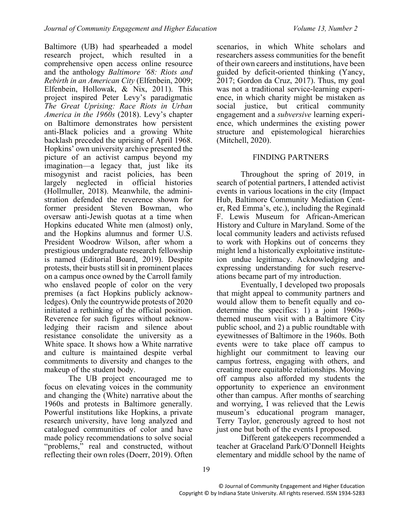Baltimore (UB) had spearheaded a model research project, which resulted in a comprehensive open access online resource and the anthology *Baltimore '68: Riots and Rebirth in an American City* (Elfenbein, 2009; Elfenbein, Hollowak, & Nix, 2011). This project inspired Peter Levy's paradigmatic *The Great Uprising: Race Riots in Urban America in the 1960s* (2018). Levy's chapter on Baltimore demonstrates how persistent anti-Black policies and a growing White backlash preceded the uprising of April 1968. Hopkins' own university archive presented the picture of an activist campus beyond my imagination—a legacy that, just like its misogynist and racist policies, has been largely neglected in official histories (Hollmuller, 2018). Meanwhile, the administration defended the reverence shown for former president Steven Bowman, who oversaw anti-Jewish quotas at a time when Hopkins educated White men (almost) only, and the Hopkins alumnus and former U.S. President Woodrow Wilson, after whom a prestigious undergraduate research fellowship is named (Editorial Board, 2019). Despite protests, their busts still sit in prominent places on a campus once owned by the Carroll family who enslaved people of color on the very premises (a fact Hopkins publicly acknowledges). Only the countrywide protests of 2020 initiated a rethinking of the official position. Reverence for such figures without acknowledging their racism and silence about resistance consolidate the university as a White space. It shows how a White narrative and culture is maintained despite verbal commitments to diversity and changes to the makeup of the student body.

The UB project encouraged me to focus on elevating voices in the community and changing the (White) narrative about the 1960s and protests in Baltimore generally. Powerful institutions like Hopkins, a private research university, have long analyzed and catalogued communities of color and have made policy recommendations to solve social "problems," real and constructed, without reflecting their own roles (Doerr, 2019). Often

scenarios, in which White scholars and researchers assess communities for the benefit of their own careers and institutions, have been guided by deficit-oriented thinking (Yancy, 2017; Gordon da Cruz, 2017). Thus, my goal was not a traditional service-learning experience, in which charity might be mistaken as social justice, but critical community engagement and a *subversive* learning experience, which undermines the existing power structure and epistemological hierarchies (Mitchell, 2020).

## FINDING PARTNERS

Throughout the spring of 2019, in search of potential partners, I attended activist events in various locations in the city (Impact Hub, Baltimore Community Mediation Center, Red Emma's, etc.), including the Reginald F. Lewis Museum for African-American History and Culture in Maryland. Some of the local community leaders and activists refused to work with Hopkins out of concerns they might lend a historically exploitative instituteion undue legitimacy. Acknowledging and expressing understanding for such reserveations became part of my introduction.

Eventually, I developed two proposals that might appeal to community partners and would allow them to benefit equally and codetermine the specifics: 1) a joint 1960sthemed museum visit with a Baltimore City public school, and 2) a public roundtable with eyewitnesses of Baltimore in the 1960s. Both events were to take place off campus to highlight our commitment to leaving our campus fortress, engaging with others, and creating more equitable relationships. Moving off campus also afforded my students the opportunity to experience an environment other than campus. After months of searching and worrying, I was relieved that the Lewis museum's educational program manager, Terry Taylor, generously agreed to host not just one but both of the events I proposed.

Different gatekeepers recommended a teacher at Graceland Park/O'Donnell Heights elementary and middle school by the name of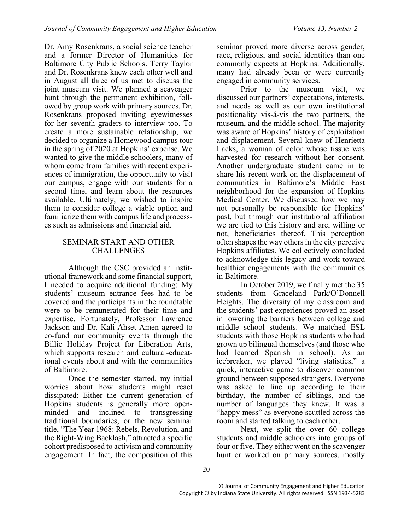Dr. Amy Rosenkrans, a social science teacher and a former Director of Humanities for Baltimore City Public Schools. Terry Taylor and Dr. Rosenkrans knew each other well and in August all three of us met to discuss the joint museum visit. We planned a scavenger hunt through the permanent exhibition, followed by group work with primary sources. Dr. Rosenkrans proposed inviting eyewitnesses for her seventh graders to interview too. To create a more sustainable relationship, we decided to organize a Homewood campus tour in the spring of 2020 at Hopkins' expense. We wanted to give the middle schoolers, many of whom come from families with recent experiences of immigration, the opportunity to visit our campus, engage with our students for a second time, and learn about the resources available. Ultimately, we wished to inspire them to consider college a viable option and familiarize them with campus life and processes such as admissions and financial aid.

## SEMINAR START AND OTHER **CHALLENGES**

Although the CSC provided an institutional framework and some financial support, I needed to acquire additional funding: My students' museum entrance fees had to be covered and the participants in the roundtable were to be remunerated for their time and expertise. Fortunately, Professor Lawrence Jackson and Dr. Kali-Ahset Amen agreed to co-fund our community events through the Billie Holiday Project for Liberation Arts, which supports research and cultural-educational events about and with the communities of Baltimore.

Once the semester started, my initial worries about how students might react dissipated: Either the current generation of Hopkins students is generally more openminded and inclined to transgressing traditional boundaries, or the new seminar title, "The Year 1968: Rebels, Revolution, and the Right-Wing Backlash," attracted a specific cohort predisposed to activism and community engagement. In fact, the composition of this

seminar proved more diverse across gender, race, religious, and social identities than one commonly expects at Hopkins. Additionally, many had already been or were currently engaged in community services.

Prior to the museum visit, we discussed our partners' expectations, interests, and needs as well as our own institutional positionality vis-á-vis the two partners, the museum, and the middle school. The majority was aware of Hopkins' history of exploitation and displacement. Several knew of Henrietta Lacks, a woman of color whose tissue was harvested for research without her consent. Another undergraduate student came in to share his recent work on the displacement of communities in Baltimore's Middle East neighborhood for the expansion of Hopkins Medical Center. We discussed how we may not personally be responsible for Hopkins' past, but through our institutional affiliation we are tied to this history and are, willing or not, beneficiaries thereof. This perception often shapes the way others in the city perceive Hopkins affiliates. We collectively concluded to acknowledge this legacy and work toward healthier engagements with the communities in Baltimore.

In October 2019, we finally met the 35 students from Graceland Park/O'Donnell Heights. The diversity of my classroom and the students' past experiences proved an asset in lowering the barriers between college and middle school students. We matched ESL students with those Hopkins students who had grown up bilingual themselves (and those who had learned Spanish in school). As an icebreaker, we played "living statistics," a quick, interactive game to discover common ground between supposed strangers. Everyone was asked to line up according to their birthday, the number of siblings, and the number of languages they knew. It was a "happy mess" as everyone scuttled across the room and started talking to each other.

Next, we split the over 60 college students and middle schoolers into groups of four or five. They either went on the scavenger hunt or worked on primary sources, mostly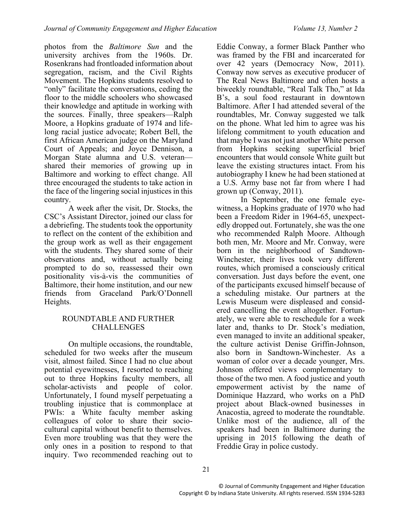photos from the *Baltimore Sun* and the university archives from the 1960s. Dr. Rosenkrans had frontloaded information about segregation, racism, and the Civil Rights Movement. The Hopkins students resolved to "only" facilitate the conversations, ceding the floor to the middle schoolers who showcased their knowledge and aptitude in working with the sources. Finally, three speakers—Ralph Moore, a Hopkins graduate of 1974 and lifelong racial justice advocate; Robert Bell, the first African American judge on the Maryland Court of Appeals; and Joyce Dennison, a Morgan State alumna and U.S. veteran shared their memories of growing up in Baltimore and working to effect change. All three encouraged the students to take action in the face of the lingering social injustices in this country.

A week after the visit, Dr. Stocks, the CSC's Assistant Director, joined our class for a debriefing. The students took the opportunity to reflect on the content of the exhibition and the group work as well as their engagement with the students. They shared some of their observations and, without actually being prompted to do so, reassessed their own positionality vis-à-vis the communities of Baltimore, their home institution, and our new friends from Graceland Park/O'Donnell Heights.

## ROUNDTABLE AND FURTHER **CHALLENGES**

On multiple occasions, the roundtable, scheduled for two weeks after the museum visit, almost failed. Since I had no clue about potential eyewitnesses, I resorted to reaching out to three Hopkins faculty members, all scholar-activists and people of color. Unfortunately, I found myself perpetuating a troubling injustice that is commonplace at PWIs: a White faculty member asking colleagues of color to share their sociocultural capital without benefit to themselves. Even more troubling was that they were the only ones in a position to respond to that inquiry. Two recommended reaching out to

Eddie Conway, a former Black Panther who was framed by the FBI and incarcerated for over 42 years (Democracy Now, 2011). Conway now serves as executive producer of The Real News Baltimore and often hosts a biweekly roundtable, "Real Talk Tho," at Ida B's, a soul food restaurant in downtown Baltimore. After I had attended several of the roundtables, Mr. Conway suggested we talk on the phone. What led him to agree was his lifelong commitment to youth education and that maybe I was not just another White person from Hopkins seeking superficial brief encounters that would console White guilt but leave the existing structures intact. From his autobiography I knew he had been stationed at a U.S. Army base not far from where I had grown up (Conway, 2011).

In September, the one female eyewitness, a Hopkins graduate of 1970 who had been a Freedom Rider in 1964-65, unexpectedly dropped out. Fortunately, she was the one who recommended Ralph Moore. Although both men, Mr. Moore and Mr. Conway, were born in the neighborhood of Sandtown-Winchester, their lives took very different routes, which promised a consciously critical conversation. Just days before the event, one of the participants excused himself because of a scheduling mistake. Our partners at the Lewis Museum were displeased and considered cancelling the event altogether. Fortunately, we were able to reschedule for a week later and, thanks to Dr. Stock's mediation, even managed to invite an additional speaker, the culture activist Denise Griffin-Johnson, also born in Sandtown-Winchester. As a woman of color over a decade younger, Mrs. Johnson offered views complementary to those of the two men. A food justice and youth empowerment activist by the name of Dominique Hazzard, who works on a PhD project about Black-owned businesses in Anacostia, agreed to moderate the roundtable. Unlike most of the audience, all of the speakers had been in Baltimore during the uprising in 2015 following the death of Freddie Gray in police custody.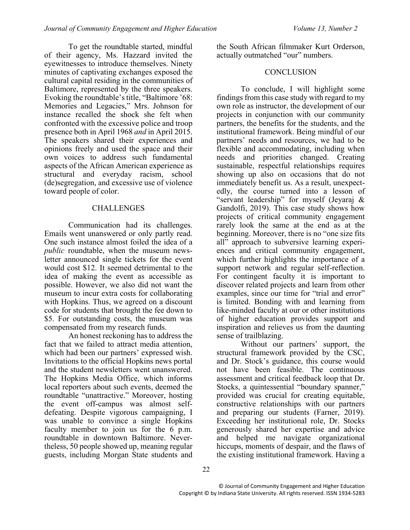To get the roundtable started, mindful of their agency, Ms. Hazzard invited the eyewitnesses to introduce themselves. Ninety minutes of captivating exchanges exposed the cultural capital residing in the communities of Baltimore, represented by the three speakers. Evoking the roundtable's title, "Baltimore '68: Memories and Legacies," Mrs. Johnson for instance recalled the shock she felt when confronted with the excessive police and troop presence both in April 1968 *and* in April 2015. The speakers shared their experiences and opinions freely and used the space and their own voices to address such fundamental aspects of the African American experience as structural and everyday racism, school (de)segregation, and excessive use of violence toward people of color.

## **CHALLENGES**

Communication had its challenges. Emails went unanswered or only partly read. One such instance almost foiled the idea of a *public* roundtable, when the museum newsletter announced single tickets for the event would cost \$12. It seemed detrimental to the idea of making the event as accessible as possible. However, we also did not want the museum to incur extra costs for collaborating with Hopkins. Thus, we agreed on a discount code for students that brought the fee down to \$5. For outstanding costs, the museum was compensated from my research funds.

An honest reckoning has to address the fact that we failed to attract media attention, which had been our partners' expressed wish. Invitations to the official Hopkins news portal and the student newsletters went unanswered. The Hopkins Media Office, which informs local reporters about such events, deemed the roundtable "unattractive." Moreover, hosting the event off-campus was almost selfdefeating. Despite vigorous campaigning, I was unable to convince a single Hopkins faculty member to join us for the 6 p.m. roundtable in downtown Baltimore. Nevertheless, 50 people showed up, meaning regular guests, including Morgan State students and

the South African filmmaker Kurt Orderson, actually outmatched "our" numbers.

## **CONCLUSION**

To conclude, I will highlight some findings from this case study with regard to my own role as instructor, the development of our projects in conjunction with our community partners, the benefits for the students, and the institutional framework. Being mindful of our partners' needs and resources, we had to be flexible and accommodating, including when needs and priorities changed. Creating sustainable, respectful relationships requires showing up also on occasions that do not immediately benefit us. As a result, unexpectedly, the course turned into a lesson of "servant leadership" for myself (Jeyaraj & Gandolfi, 2019). This case study shows how projects of critical community engagement rarely look the same at the end as at the beginning. Moreover, there is no "one size fits all" approach to subversive learning experiences and critical community engagement, which further highlights the importance of a support network and regular self-reflection. For contingent faculty it is important to discover related projects and learn from other examples, since our time for "trial and error" is limited. Bonding with and learning from like-minded faculty at our or other institutions of higher education provides support and inspiration and relieves us from the daunting sense of trailblazing.

Without our partners' support, the structural framework provided by the CSC, and Dr. Stock's guidance, this course would not have been feasible. The continuous assessment and critical feedback loop that Dr. Stocks, a quintessential "boundary spanner," provided was crucial for creating equitable, constructive relationships with our partners and preparing our students (Farner, 2019). Exceeding her institutional role, Dr. Stocks generously shared her expertise and advice and helped me navigate organizational hiccups, moments of despair, and the flaws of the existing institutional framework. Having a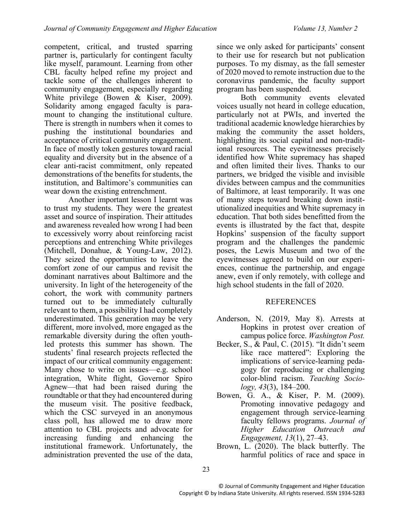competent, critical, and trusted sparring partner is, particularly for contingent faculty like myself, paramount. Learning from other CBL faculty helped refine my project and tackle some of the challenges inherent to community engagement, especially regarding White privilege (Bowen & Kiser, 2009). Solidarity among engaged faculty is paramount to changing the institutional culture. There is strength in numbers when it comes to pushing the institutional boundaries and acceptance of critical community engagement. In face of mostly token gestures toward racial equality and diversity but in the absence of a clear anti-racist commitment, only repeated demonstrations of the benefits for students, the institution, and Baltimore's communities can wear down the existing entrenchment.

Another important lesson I learnt was to trust my students. They were the greatest asset and source of inspiration. Their attitudes and awareness revealed how wrong I had been to excessively worry about reinforcing racist perceptions and entrenching White privileges (Mitchell, Donahue, & Young-Law, 2012). They seized the opportunities to leave the comfort zone of our campus and revisit the dominant narratives about Baltimore and the university. In light of the heterogeneity of the cohort, the work with community partners turned out to be immediately culturally relevant to them, a possibility I had completely underestimated. This generation may be very different, more involved, more engaged as the remarkable diversity during the often youthled protests this summer has shown. The students' final research projects reflected the impact of our critical community engagement: Many chose to write on issues—e.g. school integration, White flight, Governor Spiro Agnew—that had been raised during the roundtable or that they had encountered during the museum visit. The positive feedback, which the CSC surveyed in an anonymous class poll, has allowed me to draw more attention to CBL projects and advocate for increasing funding and enhancing the institutional framework. Unfortunately, the administration prevented the use of the data,

since we only asked for participants' consent to their use for research but not publication purposes. To my dismay, as the fall semester of 2020 moved to remote instruction due to the coronavirus pandemic, the faculty support program has been suspended.

Both community events elevated voices usually not heard in college education, particularly not at PWIs, and inverted the traditional academic knowledge hierarchies by making the community the asset holders, highlighting its social capital and non-traditional resources. The eyewitnesses precisely identified how White supremacy has shaped and often limited their lives. Thanks to our partners, we bridged the visible and invisible divides between campus and the communities of Baltimore, at least temporarily. It was one of many steps toward breaking down institutionalized inequities and White supremacy in education. That both sides benefitted from the events is illustrated by the fact that, despite Hopkins' suspension of the faculty support program and the challenges the pandemic poses, the Lewis Museum and two of the eyewitnesses agreed to build on our experiences, continue the partnership, and engage anew, even if only remotely, with college and high school students in the fall of 2020.

## REFERENCES

- Anderson, N. (2019, May 8). Arrests at Hopkins in protest over creation of campus police force. *Washington Post.*
- Becker, S., & Paul, C. (2015). "It didn't seem like race mattered": Exploring the implications of service-learning pedagogy for reproducing or challenging color-blind racism. *Teaching Sociology, 43*(3), 184–200.
- Bowen, G. A., & Kiser, P. M. (2009). Promoting innovative pedagogy and engagement through service-learning faculty fellows programs. *Journal of Higher Education Outreach and Engagement, 13*(1), 27–43.
- Brown, L. (2020). The black butterfly. The harmful politics of race and space in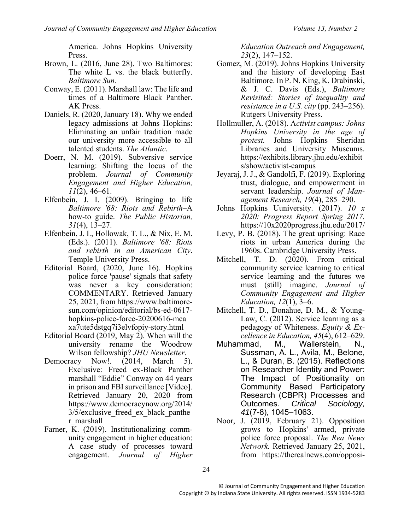America. Johns Hopkins University Press.

- Brown, L. (2016, June 28). Two Baltimores: The white L vs. the black butterfly. *Baltimore Sun.*
- Conway, E. (2011). Marshall law: The life and times of a Baltimore Black Panther. AK Press.
- Daniels, R. (2020, January 18). Why we ended legacy admissions at Johns Hopkins: Eliminating an unfair tradition made our university more accessible to all talented students. *The Atlantic*.
- Doerr, N. M. (2019). Subversive service learning: Shifting the locus of the problem. *Journal of Community Engagement and Higher Education, 11*(2), 46–61.
- Elfenbein, J. I. (2009). Bringing to life *Baltimore '68: Riots and Rebirth*–A how-to guide. *The Public Historian, 31*(4), 13–27.
- Elfenbein, J. I., Hollowak, T. L., & Nix, E. M. (Eds.). (2011). *Baltimore '68: Riots and rebirth in an American City*. Temple University Press.
- Editorial Board, (2020, June 16). Hopkins police force 'pause' signals that safety was never a key consideration: COMMENTARY. Retrieved January 25, 2021, from https://www.baltimoresun.com/opinion/editorial/bs-ed-0617 hopkins-police-force-20200616-mca xa7ute5dstgq7i3elvfopiy-story.html
- Editorial Board (2019, May 2). When will the university rename the Woodrow Wilson fellowship? *JHU Newsletter*.
- Democracy Now!. (2014, March 5). Exclusive: Freed ex-Black Panther marshall "Eddie" Conway on 44 years in prison and FBI surveillance [Video]. Retrieved January 20, 2020 from https://www.democracynow.org/2014/ 3/5/exclusive\_freed\_ex\_black\_panthe r\_marshall
- Farner, K. (2019). Institutionalizing community engagement in higher education: A case study of processes toward engagement. *Journal of Higher*

*Education Outreach and Engagement, 23*(2), 147–152.

- Gomez, M. (2019). Johns Hopkins University and the history of developing East Baltimore. In P. N. King, K. Drabinski, & J. C. Davis (Eds.), *Baltimore Revisited: Stories of inequality and resistance in a U.S. city* (pp. 243–256). Rutgers University Press.
- Hollmuller, A. (2018). A*ctivist campus: Johns Hopkins University in the age of protest.* Johns Hopkins Sheridan Libraries and University Museums. https://exhibits.library.jhu.edu/exhibit s/show/activist-campus
- Jeyaraj, J. J., & Gandolfi, F. (2019). Exploring trust, dialogue, and empowerment in servant leadership. *Journal of Management Research, 19*(4), 285–290.
- Johns Hopkins Uuniversity. (2017). *10 x 2020: Progress Report Spring 2017.* https://10x2020progress.jhu.edu/2017/
- Levy, P. B. (2018). The great uprising: Race riots in urban America during the 1960s. Cambridge University Press.
- Mitchell, T. D. (2020). From critical community service learning to critical service learning and the futures we must (still) imagine. *Journal of Community Engagement and Higher Education, 12*(1), 3–6.
- Mitchell, T. D., Donahue, D. M., & Young-Law, C. (2012). Service learning as a pedagogy of Whiteness. *Equity & Excellence in Education, 45*(4), 612–629.
- Muhammad, M., Wallerstein, N., Sussman, A. L., Avila, M., Belone, L., & Duran, B. (2015). Reflections on Researcher Identity and Power: The Impact of Positionality on Community Based Participatory Research (CBPR) Processes and<br>Outcomes. Critical Sociology, Outcomes. *Critical Sociology, 41*(7-8), 1045–1063.
- Noor, J. (2019, February 21). Opposition grows to Hopkins' armed, private police force proposal. *The Rea News Network.* Retrieved January 25, 2021, from https://therealnews.com/opposi-